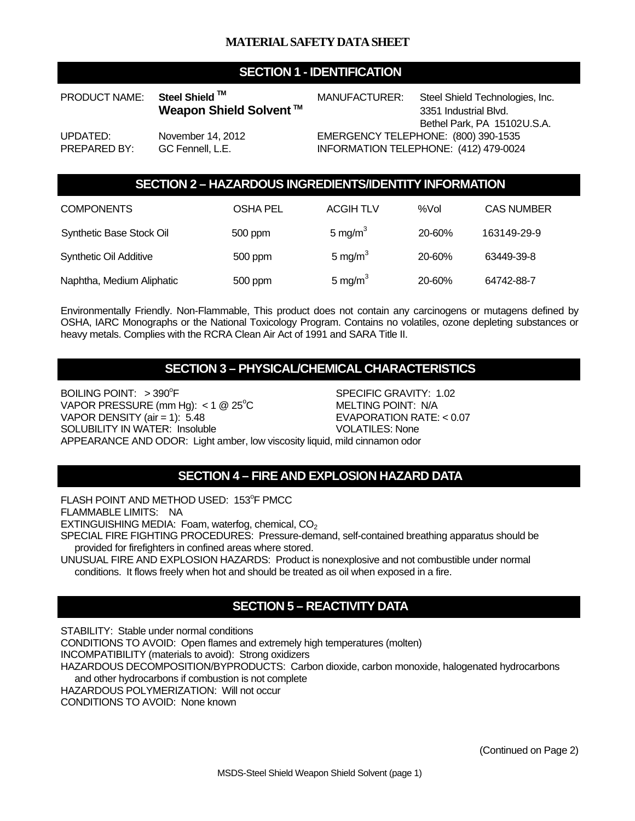## **SECTION 1 - IDENTIFICATION**

PRODUCT NAME: Steel Shield ™ MANUFACTURER: Steel Shield Technologies, Inc. **Weapon Shield Solvent** ™ 3351 Industrial Blvd. Bethel Park, PA 15102U.S.A. UPDATED: November 14, 2012 EMERGENCY TELEPHONE: (800) 390-1535 PREPARED BY: GC Fennell, L.E. INFORMATION TELEPHONE: (412) 479-0024

## **SECTION 2 – HAZARDOUS INGREDIENTS/IDENTITY INFORMATION**

| <b>COMPONENTS</b>             | OSHA PEL | <b>ACGIH TLV</b>    | %Vol   | <b>CAS NUMBER</b> |
|-------------------------------|----------|---------------------|--------|-------------------|
| Synthetic Base Stock Oil      | 500 ppm  | 5 mg/ $m3$          | 20-60% | 163149-29-9       |
| <b>Synthetic Oil Additive</b> | 500 ppm  | 5 mg/m <sup>3</sup> | 20-60% | 63449-39-8        |
| Naphtha, Medium Aliphatic     | 500 ppm  | 5 mg/m <sup>3</sup> | 20-60% | 64742-88-7        |

Environmentally Friendly. Non-Flammable, This product does not contain any carcinogens or mutagens defined by OSHA, IARC Monographs or the National Toxicology Program. Contains no volatiles, ozone depleting substances or heavy metals. Complies with the RCRA Clean Air Act of 1991 and SARA Title II.

## **SECTION 3 – PHYSICAL/CHEMICAL CHARACTERISTICS**

BOILING POINT:  $> 390^\circ F$ SPECIFIC GRAVITY: 1.02 VAPOR PRESSURE (mm Hg):  $<$  1 @ 25°C MELTING POINT: N/A VAPOR DENSITY (air = 1): 5.48 EVAPORATION RATE: < 0.07 SOLUBILITY IN WATER: Insoluble VOLATILES: None APPEARANCE AND ODOR: Light amber, low viscosity liquid, mild cinnamon odor

## **SECTION 4 – FIRE AND EXPLOSION HAZARD DATA**

FLASH POINT AND METHOD USED: 153°F PMCC

FLAMMABLE LIMITS: NA

EXTINGUISHING MEDIA: Foam, waterfog, chemical,  $CO<sub>2</sub>$ 

SPECIAL FIRE FIGHTING PROCEDURES: Pressure-demand, self-contained breathing apparatus should be provided for firefighters in confined areas where stored.

UNUSUAL FIRE AND EXPLOSION HAZARDS: Product is nonexplosive and not combustible under normal conditions. It flows freely when hot and should be treated as oil when exposed in a fire.

# **SECTION 5 – REACTIVITY DATA**

STABILITY: Stable under normal conditions

CONDITIONS TO AVOID: Open flames and extremely high temperatures (molten)

INCOMPATIBILITY (materials to avoid): Strong oxidizers

HAZARDOUS DECOMPOSITION/BYPRODUCTS: Carbon dioxide, carbon monoxide, halogenated hydrocarbons and other hydrocarbons if combustion is not complete

HAZARDOUS POLYMERIZATION: Will not occur

CONDITIONS TO AVOID: None known